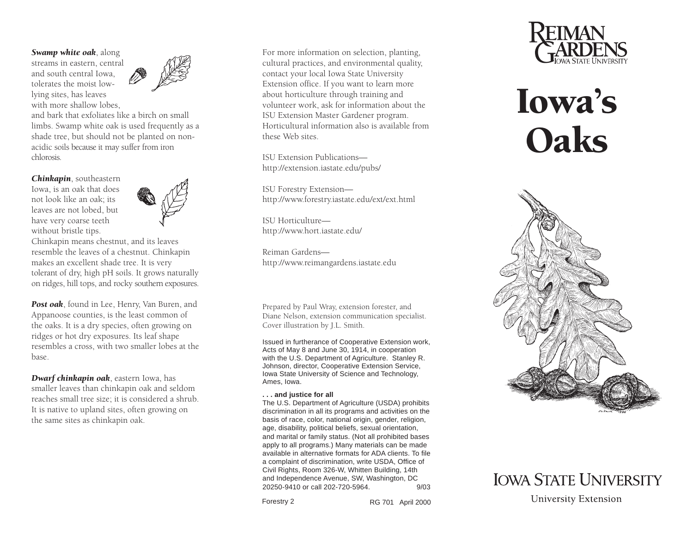*Swamp white oak*, along

streams in eastern, central and south central Iowa, tolerates the moist lowlying sites, has leaves with more shallow lobes,



and bark that exfoliates like a birch on smalllimbs. Swamp white oak is used frequently as a shade tree, but should not be planted on nonacidic soils because it may suffer from iron chlorosis.

*Chinkapin*, southeastern Iowa, is an oak that does not look like an oak; its leaves are not lobed, but have very coarse teeth without bristle tips.



Chinkapin means chestnut, and its leaves resemble the leaves of a chestnut. Chinkapin makes an excellent shade tree. It is very tolerant of dry, high pH soils. It grows naturally on ridges, hill tops, and rocky southern exposures.

*Post oak*, found in Lee, Henry, Van Buren, and Appanoose counties, is the least common of the oaks. It is a dry species, often growing on ridges or hot dry exposures. Its leaf shape resembles a cross, with two smaller lobes at the base.

*Dwarf chinkapin oak*, eastern Iowa, has smaller leaves than chinkapin oak and seldom reaches small tree size; it is considered a shrub. It is native to upland sites, often growing on the same sites as chinkapin oak.

For more information on selection, planting, cultural practices, and environmental quality, contact your local Iowa State University Extension office. If you want to learn more about horticulture through training and volunteer work, ask for information about the ISU Extension Master Gardener program. Horticultural information also is available fromthese Web sites.

ISU Extension Publicationshttp://extension.iastate.edu/pubs/

ISU Forestry Extension http://www.forestry.iastate.edu/ext/ext.html

ISU Horticulturehttp://www.hort.iastate.edu/

Reiman Gardenshttp://www.reimangardens.iastate.edu

Prepared by Paul Wray, extension forester, and Diane Nelson, extension communication specialist. Cover illustration by J.L. Smith.

Issued in furtherance of Cooperative Extension work, Acts of May 8 and June 30, 1914, in cooperation with the U.S. Department of Agriculture. Stanley R. Johnson, director, Cooperative Extension Service, Iowa State University of Science and Technology, Ames, Iowa.

## **. . . and justice for all**

The U.S. Department of Agriculture (USDA) prohibits discrimination in all its programs and activities on the basis of race, color, national origin, gender, religion, age, disability, political beliefs, sexual orientation, and marital or family status. (Not all prohibited bases apply to all programs.) Many materials can be made available in alternative formats for ADA clients. To filea complaint of discrimination, write USDA, Office of Civil Rights, Room 326-W, Whitten Building, 14th and Independence Avenue, SW, Washington, DC 20250-9410 or call 202-720-5964. 9/03

Forestry 2

RG 701 April 2000



## Iowa's **Oaks**



**IOWA STATE UNIVERSITY University Extension**